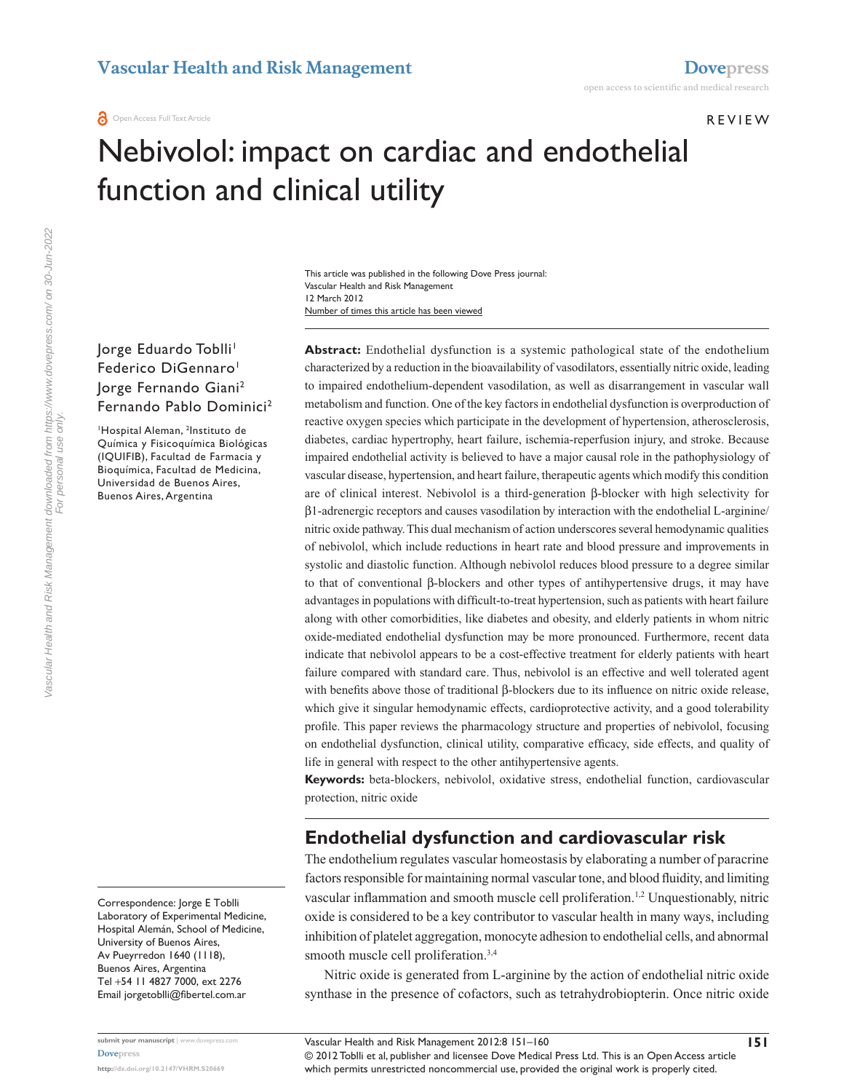**O** Open Access Full Text Article

R evie w

# Nebivolol: impact on cardiac and endothelial function and clinical utility

Number of times this article has been viewed This article was published in the following Dove Press journal: Vascular Health and Risk Management 12 March 2012

Jorge Eduardo Toblli<sup>1</sup> Federico DiGennaro<sup>1</sup> Jorge Fernando Giani2 Fernando Pablo Dominici2

'Hospital Aleman, <sup>2</sup>Instituto de Química y Fisicoquímica Biológicas (IQUIFIB), Facultad de Farmacia y Bioquímica, Facultad de Medicina, Universidad de Buenos Aires, Buenos Aires, Argentina

Correspondence: Jorge E Toblli Laboratory of Experimental Medicine, Hospital Alemán, School of Medicine, University of Buenos Aires, Av Pueyrredon 1640 (1118), Buenos Aires, Argentina Tel +54 11 4827 7000, ext 2276 Email [jorgetoblli@fibertel.com.a](mailto:jorgetoblli@fibertel.com.ar)r

**Abstract:** Endothelial dysfunction is a systemic pathological state of the endothelium characterized by a reduction in the bioavailability of vasodilators, essentially nitric oxide, leading to impaired endothelium-dependent vasodilation, as well as disarrangement in vascular wall metabolism and function. One of the key factors in endothelial dysfunction is overproduction of reactive oxygen species which participate in the development of hypertension, atherosclerosis, diabetes, cardiac hypertrophy, heart failure, ischemia-reperfusion injury, and stroke. Because impaired endothelial activity is believed to have a major causal role in the pathophysiology of vascular disease, hypertension, and heart failure, therapeutic agents which modify this condition are of clinical interest. Nebivolol is a third-generation β-blocker with high selectivity for β1-adrenergic receptors and causes vasodilation by interaction with the endothelial L-arginine/ nitric oxide pathway. This dual mechanism of action underscores several hemodynamic qualities of nebivolol, which include reductions in heart rate and blood pressure and improvements in systolic and diastolic function. Although nebivolol reduces blood pressure to a degree similar to that of conventional β-blockers and other types of antihypertensive drugs, it may have advantages in populations with difficult-to-treat hypertension, such as patients with heart failure along with other comorbidities, like diabetes and obesity, and elderly patients in whom nitric oxide-mediated endothelial dysfunction may be more pronounced. Furthermore, recent data indicate that nebivolol appears to be a cost-effective treatment for elderly patients with heart failure compared with standard care. Thus, nebivolol is an effective and well tolerated agent with benefits above those of traditional β-blockers due to its influence on nitric oxide release, which give it singular hemodynamic effects, cardioprotective activity, and a good tolerability profile. This paper reviews the pharmacology structure and properties of nebivolol, focusing on endothelial dysfunction, clinical utility, comparative efficacy, side effects, and quality of life in general with respect to the other antihypertensive agents.

**Keywords:** beta-blockers, nebivolol, oxidative stress, endothelial function, cardiovascular protection, nitric oxide

## **Endothelial dysfunction and cardiovascular risk**

The endothelium regulates vascular homeostasis by elaborating a number of paracrine factors responsible for maintaining normal vascular tone, and blood fluidity, and limiting vascular inflammation and smooth muscle cell proliferation.<sup>1,2</sup> Unquestionably, nitric oxide is considered to be a key contributor to vascular health in many ways, including inhibition of platelet aggregation, monocyte adhesion to endothelial cells, and abnormal smooth muscle cell proliferation.<sup>3,4</sup>

Nitric oxide is generated from L-arginine by the action of endothelial nitric oxide synthase in the presence of cofactors, such as tetrahydrobiopterin. Once nitric oxide

**submit your manuscript** | <www.dovepress.com> **[Dovepress](www.dovepress.com) <http://dx.doi.org/10.2147/VHRM.S20669>**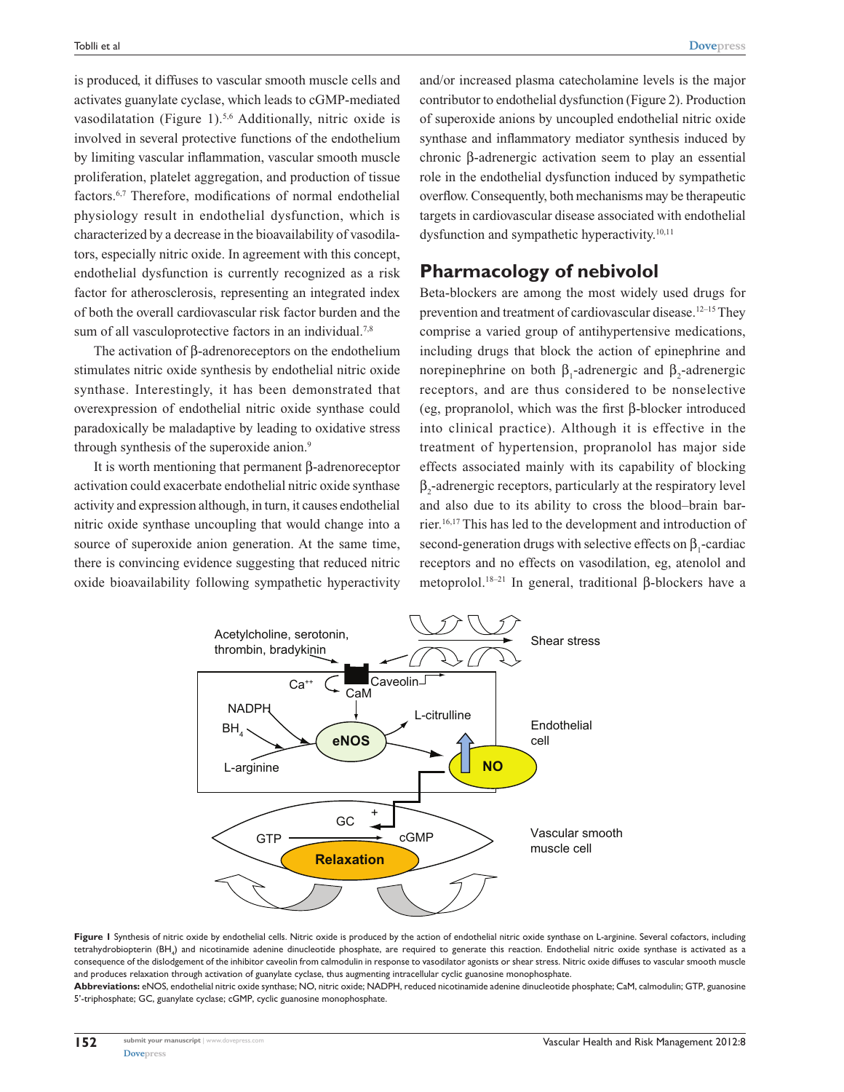is produced, it diffuses to vascular smooth muscle cells and activates guanylate cyclase, which leads to cGMP-mediated vasodilatation (Figure 1).<sup>5,6</sup> Additionally, nitric oxide is involved in several protective functions of the endothelium by limiting vascular inflammation, vascular smooth muscle proliferation, platelet aggregation, and production of tissue factors.6,7 Therefore, modifications of normal endothelial physiology result in endothelial dysfunction, which is characterized by a decrease in the bioavailability of vasodilators, especially nitric oxide. In agreement with this concept, endothelial dysfunction is currently recognized as a risk factor for atherosclerosis, representing an integrated index of both the overall cardiovascular risk factor burden and the sum of all vasculoprotective factors in an individual.<sup>7,8</sup>

The activation of β-adrenoreceptors on the endothelium stimulates nitric oxide synthesis by endothelial nitric oxide synthase. Interestingly, it has been demonstrated that overexpression of endothelial nitric oxide synthase could paradoxically be maladaptive by leading to oxidative stress through synthesis of the superoxide anion.<sup>9</sup>

It is worth mentioning that permanent β-adrenoreceptor activation could exacerbate endothelial nitric oxide synthase activity and expression although, in turn, it causes endothelial nitric oxide synthase uncoupling that would change into a source of superoxide anion generation. At the same time, there is convincing evidence suggesting that reduced nitric oxide bioavailability following sympathetic hyperactivity

and/or increased plasma catecholamine levels is the major contributor to endothelial dysfunction (Figure 2). Production of superoxide anions by uncoupled endothelial nitric oxide synthase and inflammatory mediator synthesis induced by chronic β-adrenergic activation seem to play an essential role in the endothelial dysfunction induced by sympathetic overflow. Consequently, both mechanisms may be therapeutic targets in cardiovascular disease associated with endothelial dysfunction and sympathetic hyperactivity.<sup>10,11</sup>

### **Pharmacology of nebivolol**

Beta-blockers are among the most widely used drugs for prevention and treatment of cardiovascular disease.12–15 They comprise a varied group of antihypertensive medications, including drugs that block the action of epinephrine and norepinephrine on both  $\beta_1$ -adrenergic and  $\beta_2$ -adrenergic receptors, and are thus considered to be nonselective (eg, propranolol, which was the first β-blocker introduced into clinical practice). Although it is effective in the treatment of hypertension, propranolol has major side effects associated mainly with its capability of blocking  $\beta_2$ -adrenergic receptors, particularly at the respiratory level and also due to its ability to cross the blood–brain barrier.16,17 This has led to the development and introduction of second-generation drugs with selective effects on  $\beta_1$ -cardiac receptors and no effects on vasodilation, eg, atenolol and metoprolol.<sup>18–21</sup> In general, traditional β-blockers have a



Figure I Synthesis of nitric oxide by endothelial cells. Nitric oxide is produced by the action of endothelial nitric oxide synthase on L-arginine. Several cofactors, including tetrahydrobiopterin (BH4 ) and nicotinamide adenine dinucleotide phosphate, are required to generate this reaction. Endothelial nitric oxide synthase is activated as a consequence of the dislodgement of the inhibitor caveolin from calmodulin in response to vasodilator agonists or shear stress. Nitric oxide diffuses to vascular smooth muscle and produces relaxation through activation of guanylate cyclase, thus augmenting intracellular cyclic guanosine monophosphate.

**Abbreviations:** eNOS, endothelial nitric oxide synthase; NO, nitric oxide; NADPH, reduced nicotinamide adenine dinucleotide phosphate; CaM, calmodulin; GTP, guanosine 5'-triphosphate; GC, guanylate cyclase; cGMP, cyclic guanosine monophosphate.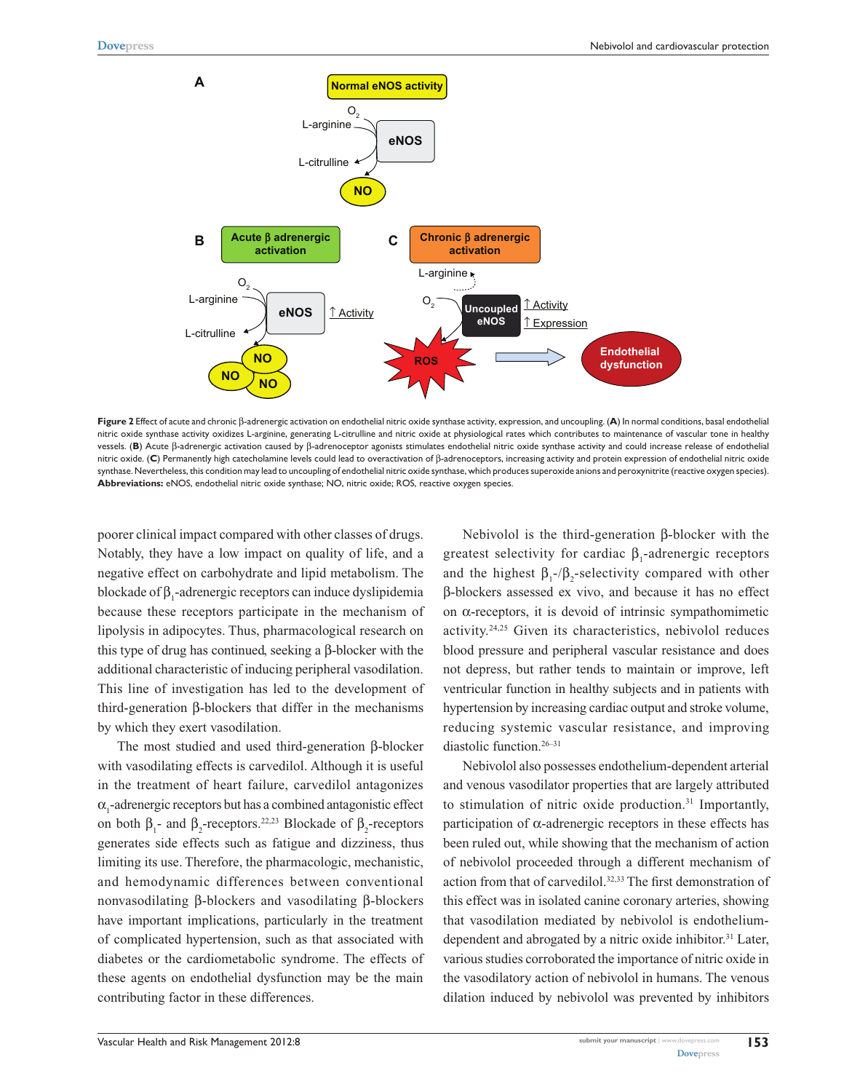

**Figure 2** Effect of acute and chronic β-adrenergic activation on endothelial nitric oxide synthase activity, expression, and uncoupling. (**A**) In normal conditions, basal endothelial nitric oxide synthase activity oxidizes L-arginine, generating L-citrulline and nitric oxide at physiological rates which contributes to maintenance of vascular tone in healthy vessels. (**B**) Acute β-adrenergic activation caused by β-adrenoceptor agonists stimulates endothelial nitric oxide synthase activity and could increase release of endothelial nitric oxide. (**C**) Permanently high catecholamine levels could lead to overactivation of β-adrenoceptors, increasing activity and protein expression of endothelial nitric oxide synthase. Nevertheless, this condition may lead to uncoupling of endothelial nitric oxide synthase, which produces superoxide anions and peroxynitrite (reactive oxygen species). **Abbreviations:** eNOS, endothelial nitric oxide synthase; NO, nitric oxide; ROS, reactive oxygen species.

poorer clinical impact compared with other classes of drugs. Notably, they have a low impact on quality of life, and a negative effect on carbohydrate and lipid metabolism. The blockade of  $\beta_1$ -adrenergic receptors can induce dyslipidemia because these receptors participate in the mechanism of lipolysis in adipocytes. Thus, pharmacological research on this type of drug has continued, seeking a β-blocker with the additional characteristic of inducing peripheral vasodilation. This line of investigation has led to the development of third-generation β-blockers that differ in the mechanisms by which they exert vasodilation.

The most studied and used third-generation β-blocker with vasodilating effects is carvedilol. Although it is useful in the treatment of heart failure, carvedilol antagonizes  $\alpha_1$ -adrenergic receptors but has a combined antagonistic effect on both  $\beta_1$ - and  $\beta_2$ -receptors.<sup>22,23</sup> Blockade of  $\beta_2$ -receptors generates side effects such as fatigue and dizziness, thus limiting its use. Therefore, the pharmacologic, mechanistic, and hemodynamic differences between conventional nonvasodilating β-blockers and vasodilating β-blockers have important implications, particularly in the treatment of complicated hypertension, such as that associated with diabetes or the cardiometabolic syndrome. The effects of these agents on endothelial dysfunction may be the main contributing factor in these differences.

Nebivolol is the third-generation β-blocker with the greatest selectivity for cardiac  $\beta_1$ -adrenergic receptors and the highest  $\beta_1$ -/ $\beta_2$ -selectivity compared with other β-blockers assessed ex vivo, and because it has no effect on α-receptors, it is devoid of intrinsic sympathomimetic activity.24,25 Given its characteristics, nebivolol reduces blood pressure and peripheral vascular resistance and does not depress, but rather tends to maintain or improve, left ventricular function in healthy subjects and in patients with hypertension by increasing cardiac output and stroke volume, reducing systemic vascular resistance, and improving diastolic function.26–31

Nebivolol also possesses endothelium-dependent arterial and venous vasodilator properties that are largely attributed to stimulation of nitric oxide production.<sup>31</sup> Importantly, participation of α-adrenergic receptors in these effects has been ruled out, while showing that the mechanism of action of nebivolol proceeded through a different mechanism of action from that of carvedilol.<sup>32,33</sup> The first demonstration of this effect was in isolated canine coronary arteries, showing that vasodilation mediated by nebivolol is endotheliumdependent and abrogated by a nitric oxide inhibitor.<sup>31</sup> Later, various studies corroborated the importance of nitric oxide in the vasodilatory action of nebivolol in humans. The venous dilation induced by nebivolol was prevented by inhibitors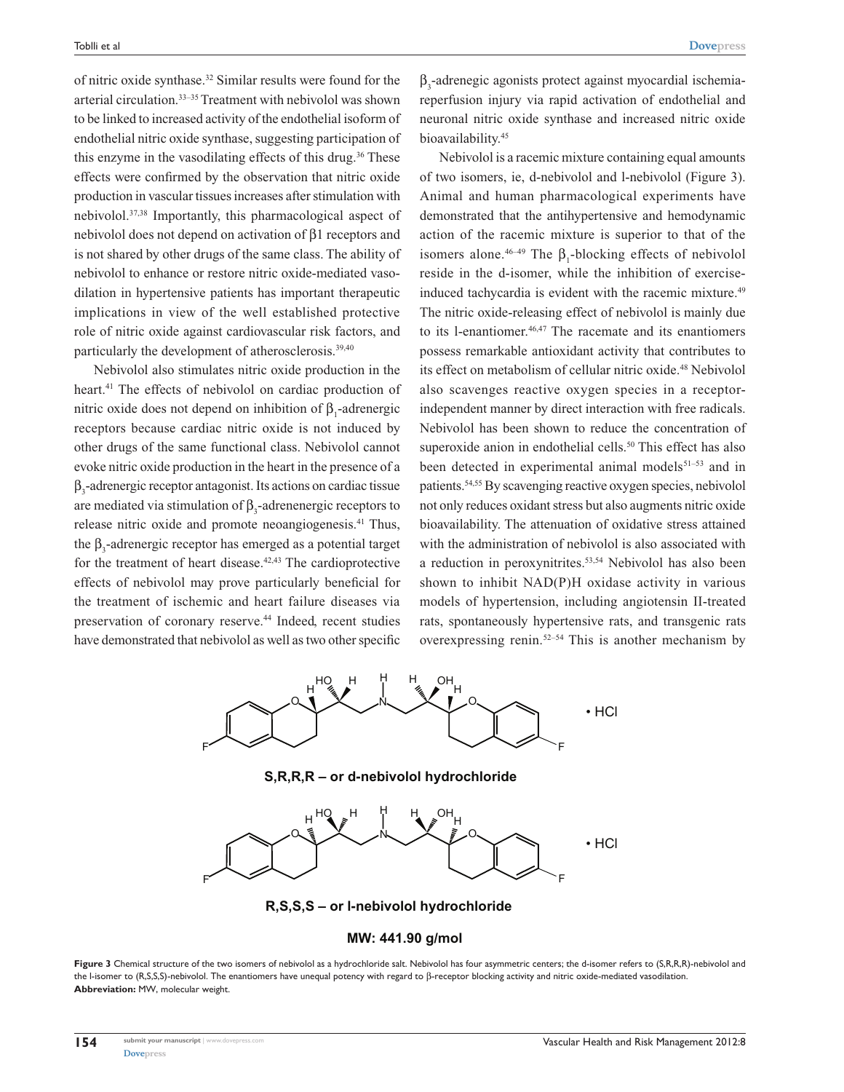of nitric oxide synthase.32 Similar results were found for the arterial circulation.33–35 Treatment with nebivolol was shown to be linked to increased activity of the endothelial isoform of endothelial nitric oxide synthase, suggesting participation of this enzyme in the vasodilating effects of this drug.<sup>36</sup> These effects were confirmed by the observation that nitric oxide production in vascular tissues increases after stimulation with nebivolol.37,38 Importantly, this pharmacological aspect of nebivolol does not depend on activation of β1 receptors and is not shared by other drugs of the same class. The ability of nebivolol to enhance or restore nitric oxide-mediated vasodilation in hypertensive patients has important therapeutic implications in view of the well established protective role of nitric oxide against cardiovascular risk factors, and particularly the development of atherosclerosis.<sup>39,40</sup>

Nebivolol also stimulates nitric oxide production in the heart.41 The effects of nebivolol on cardiac production of nitric oxide does not depend on inhibition of  $β_1$ -adrenergic receptors because cardiac nitric oxide is not induced by other drugs of the same functional class. Nebivolol cannot evoke nitric oxide production in the heart in the presence of a  $\beta_3$ -adrenergic receptor antagonist. Its actions on cardiac tissue are mediated via stimulation of  $\beta_3$ -adrenenergic receptors to release nitric oxide and promote neoangiogenesis.<sup>41</sup> Thus, the  $\beta_3$ -adrenergic receptor has emerged as a potential target for the treatment of heart disease. $42,43$  The cardioprotective effects of nebivolol may prove particularly beneficial for the treatment of ischemic and heart failure diseases via preservation of coronary reserve.44 Indeed, recent studies have demonstrated that nebivolol as well as two other specific

 $\beta_3$ -adrenegic agonists protect against myocardial ischemiareperfusion injury via rapid activation of endothelial and neuronal nitric oxide synthase and increased nitric oxide bioavailability.<sup>45</sup>

Nebivolol is a racemic mixture containing equal amounts of two isomers, ie, d-nebivolol and l-nebivolol (Figure 3). Animal and human pharmacological experiments have demonstrated that the antihypertensive and hemodynamic action of the racemic mixture is superior to that of the isomers alone.<sup>46-49</sup> The  $\beta_1$ -blocking effects of nebivolol reside in the d-isomer, while the inhibition of exerciseinduced tachycardia is evident with the racemic mixture.<sup>49</sup> The nitric oxide-releasing effect of nebivolol is mainly due to its 1-enantiomer.<sup>46,47</sup> The racemate and its enantiomers possess remarkable antioxidant activity that contributes to its effect on metabolism of cellular nitric oxide.<sup>48</sup> Nebivolol also scavenges reactive oxygen species in a receptorindependent manner by direct interaction with free radicals. Nebivolol has been shown to reduce the concentration of superoxide anion in endothelial cells.<sup>50</sup> This effect has also been detected in experimental animal models<sup>51–53</sup> and in patients.54,55 By scavenging reactive oxygen species, nebivolol not only reduces oxidant stress but also augments nitric oxide bioavailability. The attenuation of oxidative stress attained with the administration of nebivolol is also associated with a reduction in peroxynitrites.<sup>53,54</sup> Nebivolol has also been shown to inhibit NAD(P)H oxidase activity in various models of hypertension, including angiotensin II-treated rats, spontaneously hypertensive rats, and transgenic rats overexpressing renin.52–54 This is another mechanism by







**R,S,S,S – or l-nebivolol hydrochloride**



Figure 3 Chemical structure of the two isomers of nebivolol as a hydrochloride salt. Nebivolol has four asymmetric centers; the d-isomer refers to (S,R,R,R)-nebivolol and the l-isomer to (R,S,S,S)-nebivolol. The enantiomers have unequal potency with regard to β-receptor blocking activity and nitric oxide-mediated vasodilation. **Abbreviation:** MW, molecular weight.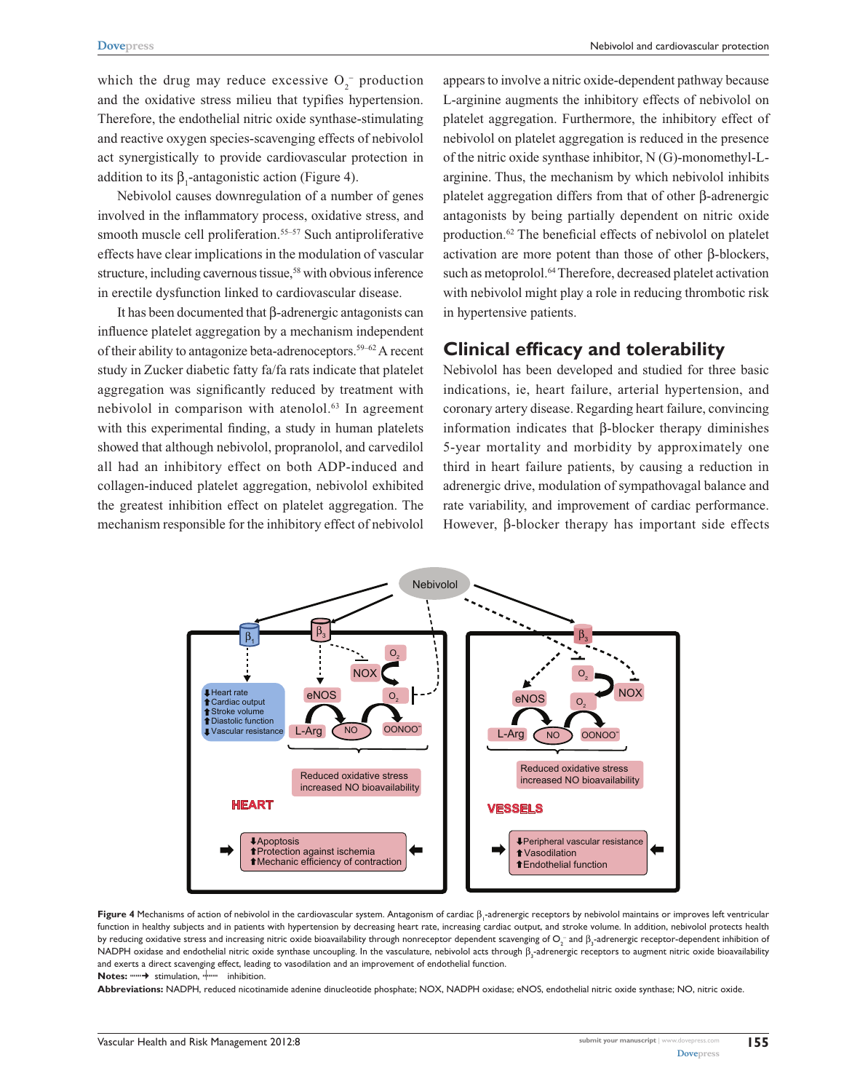which the drug may reduce excessive  $O_2^-$  production and the oxidative stress milieu that typifies hypertension. Therefore, the endothelial nitric oxide synthase-stimulating and reactive oxygen species-scavenging effects of nebivolol act synergistically to provide cardiovascular protection in addition to its  $\beta_1$ -antagonistic action (Figure 4).

Nebivolol causes downregulation of a number of genes involved in the inflammatory process, oxidative stress, and smooth muscle cell proliferation.<sup>55-57</sup> Such antiproliferative effects have clear implications in the modulation of vascular structure, including cavernous tissue,<sup>58</sup> with obvious inference in erectile dysfunction linked to cardiovascular disease.

It has been documented that β-adrenergic antagonists can influence platelet aggregation by a mechanism independent of their ability to antagonize beta-adrenoceptors.<sup>59–62</sup> A recent study in Zucker diabetic fatty fa/fa rats indicate that platelet aggregation was significantly reduced by treatment with nebivolol in comparison with atenolol.<sup>63</sup> In agreement with this experimental finding, a study in human platelets showed that although nebivolol, propranolol, and carvedilol all had an inhibitory effect on both ADP-induced and collagen-induced platelet aggregation, nebivolol exhibited the greatest inhibition effect on platelet aggregation. The mechanism responsible for the inhibitory effect of nebivolol

appears to involve a nitric oxide-dependent pathway because L-arginine augments the inhibitory effects of nebivolol on platelet aggregation. Furthermore, the inhibitory effect of nebivolol on platelet aggregation is reduced in the presence of the nitric oxide synthase inhibitor, N (G)-monomethyl-Larginine. Thus, the mechanism by which nebivolol inhibits platelet aggregation differs from that of other β-adrenergic antagonists by being partially dependent on nitric oxide production.62 The beneficial effects of nebivolol on platelet activation are more potent than those of other β-blockers, such as metoprolol.<sup>64</sup> Therefore, decreased platelet activation with nebivolol might play a role in reducing thrombotic risk in hypertensive patients.

#### **Clinical efficacy and tolerability**

Nebivolol has been developed and studied for three basic indications, ie, heart failure, arterial hypertension, and coronary artery disease. Regarding heart failure, convincing information indicates that β-blocker therapy diminishes 5-year mortality and morbidity by approximately one third in heart failure patients, by causing a reduction in adrenergic drive, modulation of sympathovagal balance and rate variability, and improvement of cardiac performance. However, β-blocker therapy has important side effects



**Figure 4** Mechanisms of action of nebivolol in the cardiovascular system. Antagonism of cardiac β<sub>1</sub>-adrenergic receptors by nebivolol maintains or improves left ventricular function in healthy subjects and in patients with hypertension by decreasing heart rate, increasing cardiac output, and stroke volume. In addition, nebivolol protects health by reducing oxidative stress and increasing nitric oxide bioavailability through nonreceptor dependent scavenging of  $\mathsf{O}_2^-$  and  $\beta_3$ -adrenergic receptor-dependent inhibition of NADPH oxidase and endothelial nitric oxide synthase uncoupling. In the vasculature, nebivolol acts through β3-adrenergic receptors to augment nitric oxide bioavailability and exerts a direct scavenging effect, leading to vasodilation and an improvement of endothelial function. **Notes:** ······→ stimulation, ········ inhibition.

**Abbreviations:** NADPH, reduced nicotinamide adenine dinucleotide phosphate; NOX, NADPH oxidase; eNOS, endothelial nitric oxide synthase; NO, nitric oxide.

**155**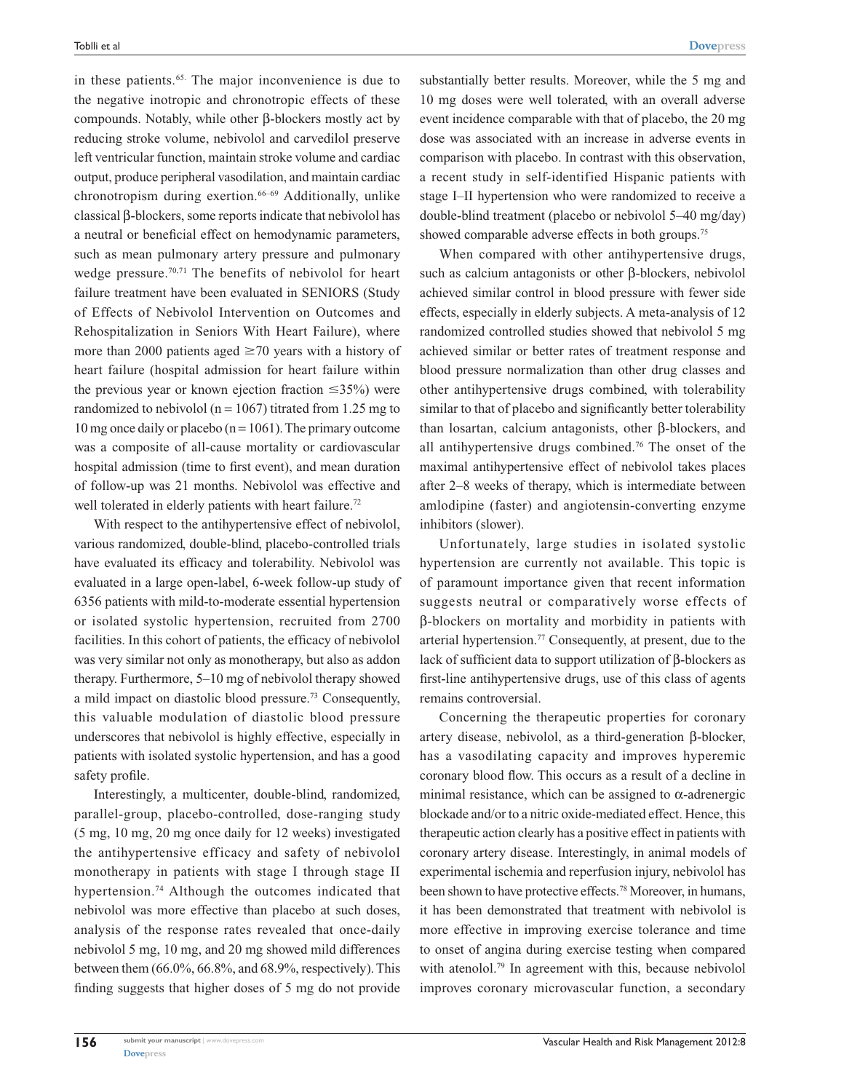in these patients.<sup>65.</sup> The major inconvenience is due to the negative inotropic and chronotropic effects of these compounds. Notably, while other β-blockers mostly act by reducing stroke volume, nebivolol and carvedilol preserve left ventricular function, maintain stroke volume and cardiac output, produce peripheral vasodilation, and maintain cardiac chronotropism during exertion.66–69 Additionally, unlike classical β-blockers, some reports indicate that nebivolol has a neutral or beneficial effect on hemodynamic parameters, such as mean pulmonary artery pressure and pulmonary wedge pressure.<sup>70,71</sup> The benefits of nebivolol for heart failure treatment have been evaluated in SENIORS (Study of Effects of Nebivolol Intervention on Outcomes and Rehospitalization in Seniors With Heart Failure), where more than 2000 patients aged  $\geq$  70 years with a history of heart failure (hospital admission for heart failure within the previous year or known ejection fraction  $\leq 35\%$ ) were randomized to nebivolol ( $n = 1067$ ) titrated from 1.25 mg to 10 mg once daily or placebo ( $n = 1061$ ). The primary outcome was a composite of all-cause mortality or cardiovascular hospital admission (time to first event), and mean duration of follow-up was 21 months. Nebivolol was effective and well tolerated in elderly patients with heart failure.<sup>72</sup>

With respect to the antihypertensive effect of nebivolol, various randomized, double-blind, placebo-controlled trials have evaluated its efficacy and tolerability. Nebivolol was evaluated in a large open-label, 6-week follow-up study of 6356 patients with mild-to-moderate essential hypertension or isolated systolic hypertension, recruited from 2700 facilities. In this cohort of patients, the efficacy of nebivolol was very similar not only as monotherapy, but also as addon therapy. Furthermore, 5–10 mg of nebivolol therapy showed a mild impact on diastolic blood pressure.73 Consequently, this valuable modulation of diastolic blood pressure underscores that nebivolol is highly effective, especially in patients with isolated systolic hypertension, and has a good safety profile.

Interestingly, a multicenter, double-blind, randomized, parallel-group, placebo-controlled, dose-ranging study (5 mg, 10 mg, 20 mg once daily for 12 weeks) investigated the antihypertensive efficacy and safety of nebivolol monotherapy in patients with stage I through stage II hypertension.74 Although the outcomes indicated that nebivolol was more effective than placebo at such doses, analysis of the response rates revealed that once-daily nebivolol 5 mg, 10 mg, and 20 mg showed mild differences between them (66.0%, 66.8%, and 68.9%, respectively). This finding suggests that higher doses of 5 mg do not provide

substantially better results. Moreover, while the 5 mg and 10 mg doses were well tolerated, with an overall adverse event incidence comparable with that of placebo, the 20 mg dose was associated with an increase in adverse events in comparison with placebo. In contrast with this observation, a recent study in self-identified Hispanic patients with stage I–II hypertension who were randomized to receive a double-blind treatment (placebo or nebivolol 5–40 mg/day) showed comparable adverse effects in both groups.<sup>75</sup>

When compared with other antihypertensive drugs, such as calcium antagonists or other β-blockers, nebivolol achieved similar control in blood pressure with fewer side effects, especially in elderly subjects. A meta-analysis of 12 randomized controlled studies showed that nebivolol 5 mg achieved similar or better rates of treatment response and blood pressure normalization than other drug classes and other antihypertensive drugs combined, with tolerability similar to that of placebo and significantly better tolerability than losartan, calcium antagonists, other β-blockers, and all antihypertensive drugs combined.76 The onset of the maximal antihypertensive effect of nebivolol takes places after 2–8 weeks of therapy, which is intermediate between amlodipine (faster) and angiotensin-converting enzyme inhibitors (slower).

Unfortunately, large studies in isolated systolic hypertension are currently not available. This topic is of paramount importance given that recent information suggests neutral or comparatively worse effects of β-blockers on mortality and morbidity in patients with arterial hypertension.77 Consequently, at present, due to the lack of sufficient data to support utilization of β-blockers as first-line antihypertensive drugs, use of this class of agents remains controversial.

Concerning the therapeutic properties for coronary artery disease, nebivolol, as a third-generation β-blocker, has a vasodilating capacity and improves hyperemic coronary blood flow. This occurs as a result of a decline in minimal resistance, which can be assigned to  $\alpha$ -adrenergic blockade and/or to a nitric oxide-mediated effect. Hence, this therapeutic action clearly has a positive effect in patients with coronary artery disease. Interestingly, in animal models of experimental ischemia and reperfusion injury, nebivolol has been shown to have protective effects.<sup>78</sup> Moreover, in humans, it has been demonstrated that treatment with nebivolol is more effective in improving exercise tolerance and time to onset of angina during exercise testing when compared with atenolol.<sup>79</sup> In agreement with this, because nebivolol improves coronary microvascular function, a secondary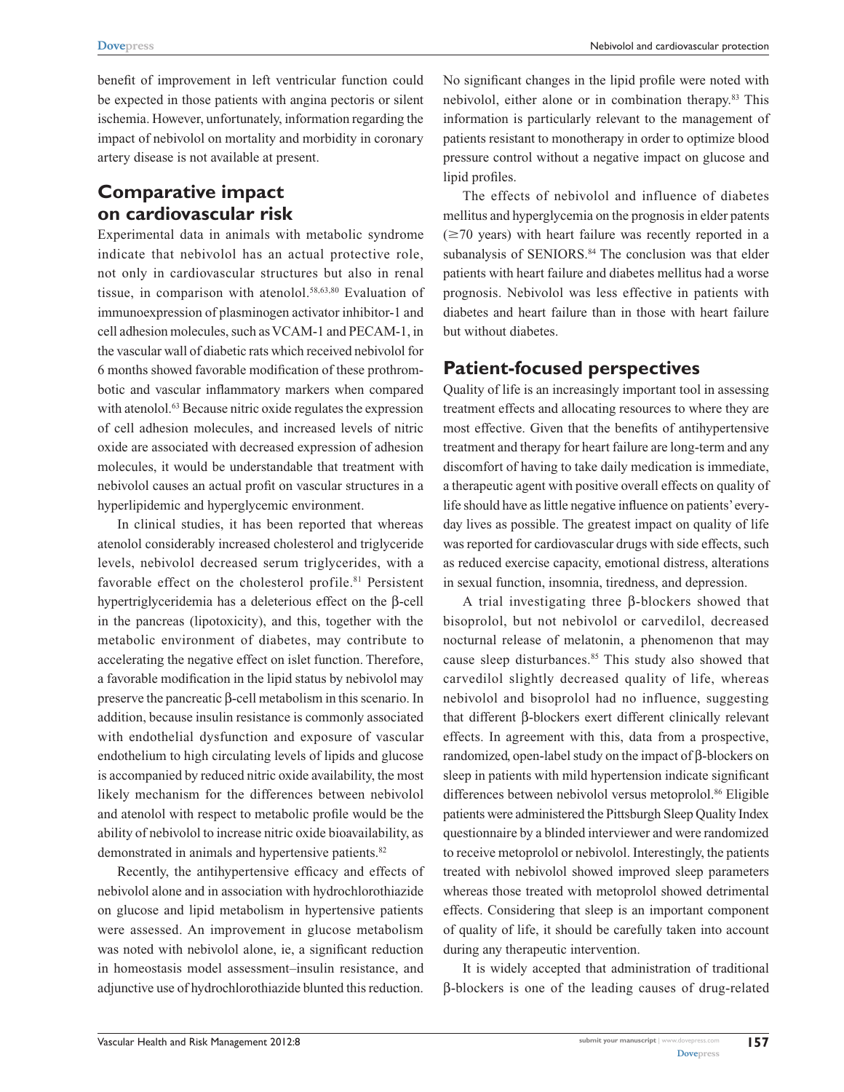benefit of improvement in left ventricular function could be expected in those patients with angina pectoris or silent ischemia. However, unfortunately, information regarding the impact of nebivolol on mortality and morbidity in coronary artery disease is not available at present.

# **Comparative impact on cardiovascular risk**

Experimental data in animals with metabolic syndrome indicate that nebivolol has an actual protective role, not only in cardiovascular structures but also in renal tissue, in comparison with atenolol.<sup>58,63,80</sup> Evaluation of immunoexpression of plasminogen activator inhibitor-1 and cell adhesion molecules, such as VCAM-1 and PECAM-1, in the vascular wall of diabetic rats which received nebivolol for 6 months showed favorable modification of these prothrombotic and vascular inflammatory markers when compared with atenolol.<sup>63</sup> Because nitric oxide regulates the expression of cell adhesion molecules, and increased levels of nitric oxide are associated with decreased expression of adhesion molecules, it would be understandable that treatment with nebivolol causes an actual profit on vascular structures in a hyperlipidemic and hyperglycemic environment.

In clinical studies, it has been reported that whereas atenolol considerably increased cholesterol and triglyceride levels, nebivolol decreased serum triglycerides, with a favorable effect on the cholesterol profile.<sup>81</sup> Persistent hypertriglyceridemia has a deleterious effect on the β-cell in the pancreas (lipotoxicity), and this, together with the metabolic environment of diabetes, may contribute to accelerating the negative effect on islet function. Therefore, a favorable modification in the lipid status by nebivolol may preserve the pancreatic β-cell metabolism in this scenario. In addition, because insulin resistance is commonly associated with endothelial dysfunction and exposure of vascular endothelium to high circulating levels of lipids and glucose is accompanied by reduced nitric oxide availability, the most likely mechanism for the differences between nebivolol and atenolol with respect to metabolic profile would be the ability of nebivolol to increase nitric oxide bioavailability, as demonstrated in animals and hypertensive patients.<sup>82</sup>

Recently, the antihypertensive efficacy and effects of nebivolol alone and in association with hydrochlorothiazide on glucose and lipid metabolism in hypertensive patients were assessed. An improvement in glucose metabolism was noted with nebivolol alone, ie, a significant reduction in homeostasis model assessment–insulin resistance, and adjunctive use of hydrochlorothiazide blunted this reduction.

No significant changes in the lipid profile were noted with nebivolol, either alone or in combination therapy.83 This information is particularly relevant to the management of patients resistant to monotherapy in order to optimize blood pressure control without a negative impact on glucose and lipid profiles.

The effects of nebivolol and influence of diabetes mellitus and hyperglycemia on the prognosis in elder patents  $(\geq 70 \text{ years})$  with heart failure was recently reported in a subanalysis of SENIORS.<sup>84</sup> The conclusion was that elder patients with heart failure and diabetes mellitus had a worse prognosis. Nebivolol was less effective in patients with diabetes and heart failure than in those with heart failure but without diabetes.

## **Patient-focused perspectives**

Quality of life is an increasingly important tool in assessing treatment effects and allocating resources to where they are most effective. Given that the benefits of antihypertensive treatment and therapy for heart failure are long-term and any discomfort of having to take daily medication is immediate, a therapeutic agent with positive overall effects on quality of life should have as little negative influence on patients' everyday lives as possible. The greatest impact on quality of life was reported for cardiovascular drugs with side effects, such as reduced exercise capacity, emotional distress, alterations in sexual function, insomnia, tiredness, and depression.

A trial investigating three β-blockers showed that bisoprolol, but not nebivolol or carvedilol, decreased nocturnal release of melatonin, a phenomenon that may cause sleep disturbances.<sup>85</sup> This study also showed that carvedilol slightly decreased quality of life, whereas nebivolol and bisoprolol had no influence, suggesting that different β-blockers exert different clinically relevant effects. In agreement with this, data from a prospective, randomized, open-label study on the impact of β-blockers on sleep in patients with mild hypertension indicate significant differences between nebivolol versus metoprolol.<sup>86</sup> Eligible patients were administered the Pittsburgh Sleep Quality Index questionnaire by a blinded interviewer and were randomized to receive metoprolol or nebivolol. Interestingly, the patients treated with nebivolol showed improved sleep parameters whereas those treated with metoprolol showed detrimental effects. Considering that sleep is an important component of quality of life, it should be carefully taken into account during any therapeutic intervention.

It is widely accepted that administration of traditional β-blockers is one of the leading causes of drug-related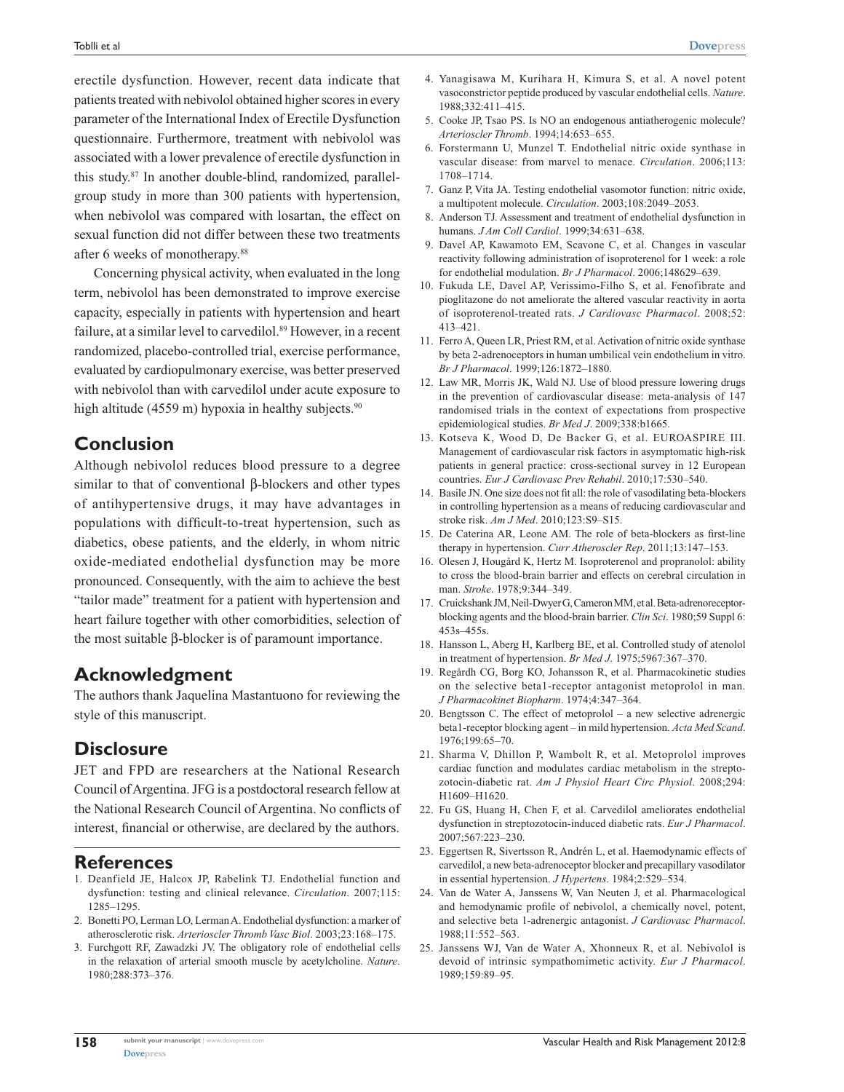erectile dysfunction. However, recent data indicate that patients treated with nebivolol obtained higher scores in every parameter of the International Index of Erectile Dysfunction questionnaire. Furthermore, treatment with nebivolol was associated with a lower prevalence of erectile dysfunction in this study.87 In another double-blind, randomized, parallelgroup study in more than 300 patients with hypertension, when nebivolol was compared with losartan, the effect on sexual function did not differ between these two treatments after 6 weeks of monotherapy.88

Concerning physical activity, when evaluated in the long term, nebivolol has been demonstrated to improve exercise capacity, especially in patients with hypertension and heart failure, at a similar level to carvedilol.<sup>89</sup> However, in a recent randomized, placebo-controlled trial, exercise performance, evaluated by cardiopulmonary exercise, was better preserved with nebivolol than with carvedilol under acute exposure to high altitude (4559 m) hypoxia in healthy subjects.<sup>90</sup>

#### **Conclusion**

Although nebivolol reduces blood pressure to a degree similar to that of conventional β-blockers and other types of antihypertensive drugs, it may have advantages in populations with difficult-to-treat hypertension, such as diabetics, obese patients, and the elderly, in whom nitric oxide-mediated endothelial dysfunction may be more pronounced. Consequently, with the aim to achieve the best "tailor made" treatment for a patient with hypertension and heart failure together with other comorbidities, selection of the most suitable β-blocker is of paramount importance.

#### **Acknowledgment**

The authors thank Jaquelina Mastantuono for reviewing the style of this manuscript.

## **Disclosure**

JET and FPD are researchers at the National Research Council of Argentina. JFG is a postdoctoral research fellow at the National Research Council of Argentina. No conflicts of interest, financial or otherwise, are declared by the authors.

#### **References**

- 1. Deanfield JE, Halcox JP, Rabelink TJ. Endothelial function and dysfunction: testing and clinical relevance. *Circulation*. 2007;115: 1285–1295.
- 2. Bonetti PO, Lerman LO, Lerman A. Endothelial dysfunction: a marker of atherosclerotic risk. *Arterioscler Thromb Vasc Biol*. 2003;23:168–175.
- 3. Furchgott RF, Zawadzki JV. The obligatory role of endothelial cells in the relaxation of arterial smooth muscle by acetylcholine. *Nature*. 1980;288:373–376.
- 4. Yanagisawa M, Kurihara H, Kimura S, et al. A novel potent vasoconstrictor peptide produced by vascular endothelial cells. *Nature*. 1988;332:411–415.
- 5. Cooke JP, Tsao PS. Is NO an endogenous antiatherogenic molecule? *Arterioscler Thromb*. 1994;14:653–655.
- 6. Forstermann U, Munzel T. Endothelial nitric oxide synthase in vascular disease: from marvel to menace. *Circulation*. 2006;113: 1708–1714.
- 7. Ganz P, Vita JA. Testing endothelial vasomotor function: nitric oxide, a multipotent molecule. *Circulation*. 2003;108:2049–2053.
- 8. Anderson TJ. Assessment and treatment of endothelial dysfunction in humans. *J Am Coll Cardiol*. 1999;34:631–638.
- 9. Davel AP, Kawamoto EM, Scavone C, et al. Changes in vascular reactivity following administration of isoproterenol for 1 week: a role for endothelial modulation. *Br J Pharmacol*. 2006;148629–639.
- 10. Fukuda LE, Davel AP, Verissimo-Filho S, et al. Fenofibrate and pioglitazone do not ameliorate the altered vascular reactivity in aorta of isoproterenol-treated rats. *J Cardiovasc Pharmacol*. 2008;52: 413–421.
- 11. Ferro A, Queen LR, Priest RM, et al. Activation of nitric oxide synthase by beta 2-adrenoceptors in human umbilical vein endothelium in vitro. *Br J Pharmacol*. 1999;126:1872–1880.
- 12. Law MR, Morris JK, Wald NJ. Use of blood pressure lowering drugs in the prevention of cardiovascular disease: meta-analysis of 147 randomised trials in the context of expectations from prospective epidemiological studies. *Br Med J*. 2009;338:b1665.
- 13. Kotseva K, Wood D, De Backer G, et al. EUROASPIRE III. Management of cardiovascular risk factors in asymptomatic high-risk patients in general practice: cross-sectional survey in 12 European countries. *Eur J Cardiovasc Prev Rehabil*. 2010;17:530–540.
- 14. Basile JN. One size does not fit all: the role of vasodilating beta-blockers in controlling hypertension as a means of reducing cardiovascular and stroke risk. *Am J Med*. 2010;123:S9–S15.
- 15. De Caterina AR, Leone AM. The role of beta-blockers as first-line therapy in hypertension. *Curr Atheroscler Rep*. 2011;13:147–153.
- 16. Olesen J, Hougård K, Hertz M. Isoproterenol and propranolol: ability to cross the blood-brain barrier and effects on cerebral circulation in man. *Stroke*. 1978;9:344–349.
- 17. Cruickshank JM, Neil-Dwyer G, Cameron MM, etal. Beta-adrenoreceptorblocking agents and the blood-brain barrier. *Clin Sci*. 1980;59 Suppl 6: 453s–455s.
- 18. Hansson L, Aberg H, Karlberg BE, et al. Controlled study of atenolol in treatment of hypertension. *Br Med J*. 1975;5967:367–370.
- 19. Regårdh CG, Borg KO, Johansson R, et al. Pharmacokinetic studies on the selective beta1-receptor antagonist metoprolol in man. *J Pharmacokinet Biopharm*. 1974;4:347–364.
- 20. Bengtsson C. The effect of metoprolol a new selective adrenergic beta1-receptor blocking agent – in mild hypertension. *Acta Med Scand*. 1976;199:65–70.
- 21. Sharma V, Dhillon P, Wambolt R, et al. Metoprolol improves cardiac function and modulates cardiac metabolism in the streptozotocin-diabetic rat. *Am J Physiol Heart Circ Physiol*. 2008;294: H1609–H1620.
- 22. Fu GS, Huang H, Chen F, et al. Carvedilol ameliorates endothelial dysfunction in streptozotocin-induced diabetic rats. *Eur J Pharmacol*. 2007;567:223–230.
- 23. Eggertsen R, Sivertsson R, Andrén L, et al. Haemodynamic effects of carvedilol, a new beta-adrenoceptor blocker and precapillary vasodilator in essential hypertension. *J Hypertens*. 1984;2:529–534.
- 24. Van de Water A, Janssens W, Van Neuten J, et al. Pharmacological and hemodynamic profile of nebivolol, a chemically novel, potent, and selective beta 1-adrenergic antagonist. *J Cardiovasc Pharmacol*. 1988;11:552–563.
- 25. Janssens WJ, Van de Water A, Xhonneux R, et al. Nebivolol is devoid of intrinsic sympathomimetic activity. *Eur J Pharmacol*. 1989;159:89–95.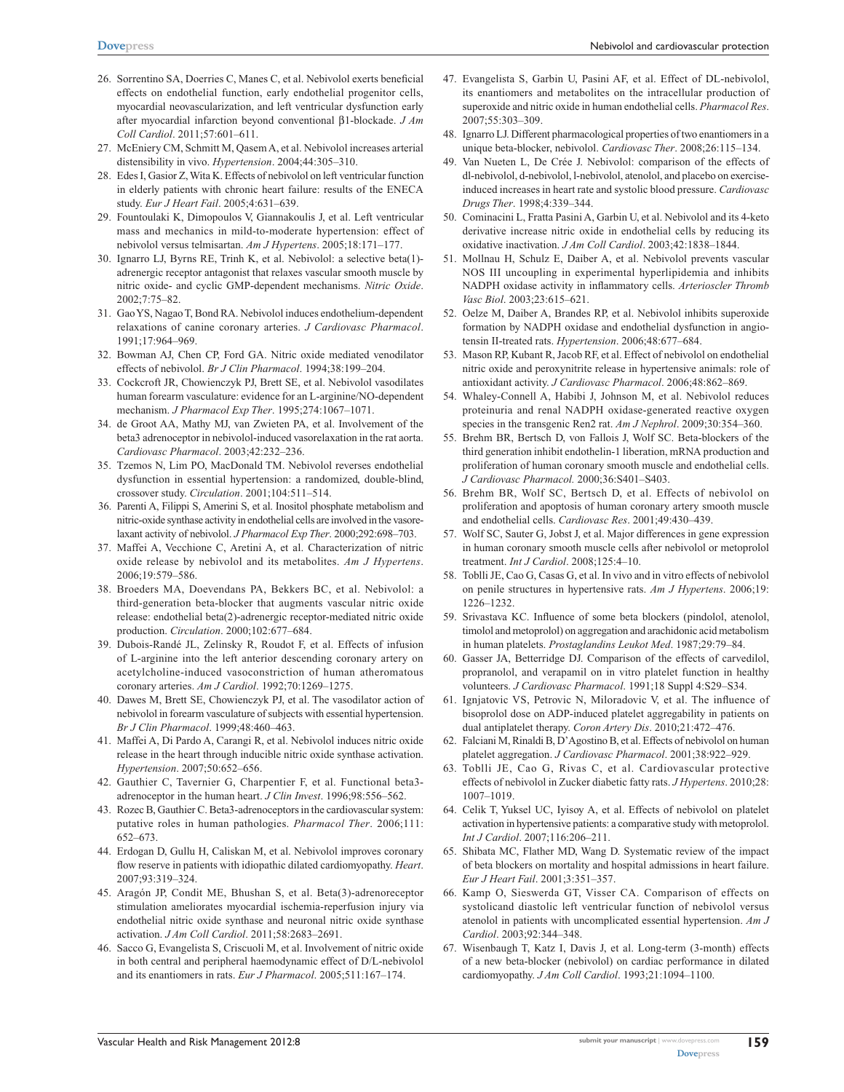- 26. Sorrentino SA, Doerries C, Manes C, et al. Nebivolol exerts beneficial effects on endothelial function, early endothelial progenitor cells, myocardial neovascularization, and left ventricular dysfunction early after myocardial infarction beyond conventional β1-blockade. *J Am Coll Cardiol*. 2011;57:601–611.
- 27. McEniery CM, Schmitt M, Qasem A, et al. Nebivolol increases arterial distensibility in vivo. *Hypertension*. 2004;44:305–310.
- 28. Edes I, Gasior Z, Wita K. Effects of nebivolol on left ventricular function in elderly patients with chronic heart failure: results of the ENECA study. *Eur J Heart Fail*. 2005;4:631–639.
- 29. Fountoulaki K, Dimopoulos V, Giannakoulis J, et al. Left ventricular mass and mechanics in mild-to-moderate hypertension: effect of nebivolol versus telmisartan. *Am J Hypertens*. 2005;18:171–177.
- 30. Ignarro LJ, Byrns RE, Trinh K, et al. Nebivolol: a selective beta(1) adrenergic receptor antagonist that relaxes vascular smooth muscle by nitric oxide- and cyclic GMP-dependent mechanisms. *Nitric Oxide*. 2002;7:75–82.
- 31. Gao YS, Nagao T, Bond RA. Nebivolol induces endothelium-dependent relaxations of canine coronary arteries. *J Cardiovasc Pharmacol*. 1991;17:964–969.
- 32. Bowman AJ, Chen CP, Ford GA. Nitric oxide mediated venodilator effects of nebivolol. *Br J Clin Pharmacol*. 1994;38:199–204.
- 33. Cockcroft JR, Chowienczyk PJ, Brett SE, et al. Nebivolol vasodilates human forearm vasculature: evidence for an L-arginine/NO-dependent mechanism. *J Pharmacol Exp Ther*. 1995;274:1067–1071.
- 34. de Groot AA, Mathy MJ, van Zwieten PA, et al. Involvement of the beta3 adrenoceptor in nebivolol-induced vasorelaxation in the rat aorta. *Cardiovasc Pharmacol*. 2003;42:232–236.
- 35. Tzemos N, Lim PO, MacDonald TM. Nebivolol reverses endothelial dysfunction in essential hypertension: a randomized, double-blind, crossover study. *Circulation*. 2001;104:511–514.
- 36. Parenti A, Filippi S, Amerini S, et al. Inositol phosphate metabolism and nitric-oxide synthase activity in endothelial cells are involved in the vasorelaxant activity of nebivolol. *J Pharmacol Exp Ther*. 2000;292:698–703.
- 37. Maffei A, Vecchione C, Aretini A, et al. Characterization of nitric oxide release by nebivolol and its metabolites. *Am J Hypertens*. 2006;19:579–586.
- 38. Broeders MA, Doevendans PA, Bekkers BC, et al. Nebivolol: a third-generation beta-blocker that augments vascular nitric oxide release: endothelial beta(2)-adrenergic receptor-mediated nitric oxide production. *Circulation*. 2000;102:677–684.
- 39. Dubois-Randé JL, Zelinsky R, Roudot F, et al. Effects of infusion of L-arginine into the left anterior descending coronary artery on acetylcholine-induced vasoconstriction of human atheromatous coronary arteries. *Am J Cardiol*. 1992;70:1269–1275.
- 40. Dawes M, Brett SE, Chowienczyk PJ, et al. The vasodilator action of nebivolol in forearm vasculature of subjects with essential hypertension. *Br J Clin Pharmacol*. 1999;48:460–463.
- 41. Maffei A, Di Pardo A, Carangi R, et al. Nebivolol induces nitric oxide release in the heart through inducible nitric oxide synthase activation. *Hypertension*. 2007;50:652–656.
- 42. Gauthier C, Tavernier G, Charpentier F, et al. Functional beta3 adrenoceptor in the human heart. *J Clin Invest*. 1996;98:556–562.
- 43. Rozec B, Gauthier C. Beta3-adrenoceptors in the cardiovascular system: putative roles in human pathologies. *Pharmacol Ther*. 2006;111: 652–673.
- 44. Erdogan D, Gullu H, Caliskan M, et al. Nebivolol improves coronary flow reserve in patients with idiopathic dilated cardiomyopathy. *Heart*. 2007;93:319–324.
- 45. Aragón JP, Condit ME, Bhushan S, et al. Beta(3)-adrenoreceptor stimulation ameliorates myocardial ischemia-reperfusion injury via endothelial nitric oxide synthase and neuronal nitric oxide synthase activation. *J Am Coll Cardiol*. 2011;58:2683–2691.
- 46. Sacco G, Evangelista S, Criscuoli M, et al. Involvement of nitric oxide in both central and peripheral haemodynamic effect of D/L-nebivolol and its enantiomers in rats. *Eur J Pharmacol*. 2005;511:167–174.
- 47. Evangelista S, Garbin U, Pasini AF, et al. Effect of DL-nebivolol, its enantiomers and metabolites on the intracellular production of superoxide and nitric oxide in human endothelial cells. *Pharmacol Res*. 2007;55:303–309.
- 48. Ignarro LJ. Different pharmacological properties of two enantiomers in a unique beta-blocker, nebivolol. *Cardiovasc Ther*. 2008;26:115–134.
- 49. Van Nueten L, De Crée J. Nebivolol: comparison of the effects of dl-nebivolol, d-nebivolol, l-nebivolol, atenolol, and placebo on exerciseinduced increases in heart rate and systolic blood pressure. *Cardiovasc Drugs Ther*. 1998;4:339–344.
- 50. Cominacini L, Fratta Pasini A, Garbin U, et al. Nebivolol and its 4-keto derivative increase nitric oxide in endothelial cells by reducing its oxidative inactivation. *J Am Coll Cardiol*. 2003;42:1838–1844.
- 51. Mollnau H, Schulz E, Daiber A, et al. Nebivolol prevents vascular NOS III uncoupling in experimental hyperlipidemia and inhibits NADPH oxidase activity in inflammatory cells. *Arterioscler Thromb Vasc Biol*. 2003;23:615–621.
- 52. Oelze M, Daiber A, Brandes RP, et al. Nebivolol inhibits superoxide formation by NADPH oxidase and endothelial dysfunction in angiotensin II-treated rats. *Hypertension*. 2006;48:677–684.
- 53. Mason RP, Kubant R, Jacob RF, et al. Effect of nebivolol on endothelial nitric oxide and peroxynitrite release in hypertensive animals: role of antioxidant activity. *J Cardiovasc Pharmacol*. 2006;48:862–869.
- 54. Whaley-Connell A, Habibi J, Johnson M, et al. Nebivolol reduces proteinuria and renal NADPH oxidase-generated reactive oxygen species in the transgenic Ren2 rat. *Am J Nephrol*. 2009;30:354–360.
- 55. Brehm BR, Bertsch D, von Fallois J, Wolf SC. Beta-blockers of the third generation inhibit endothelin-1 liberation, mRNA production and proliferation of human coronary smooth muscle and endothelial cells. *J Cardiovasc Pharmacol.* 2000;36:S401–S403.
- 56. Brehm BR, Wolf SC, Bertsch D, et al. Effects of nebivolol on proliferation and apoptosis of human coronary artery smooth muscle and endothelial cells. *Cardiovasc Res*. 2001;49:430–439.
- 57. Wolf SC, Sauter G, Jobst J, et al. Major differences in gene expression in human coronary smooth muscle cells after nebivolol or metoprolol treatment. *Int J Cardiol*. 2008;125:4–10.
- 58. Toblli JE, Cao G, Casas G, et al. In vivo and in vitro effects of nebivolol on penile structures in hypertensive rats. *Am J Hypertens*. 2006;19: 1226–1232.
- 59. Srivastava KC. Influence of some beta blockers (pindolol, atenolol, timolol and metoprolol) on aggregation and arachidonic acid metabolism in human platelets. *Prostaglandins Leukot Med*. 1987;29:79–84.
- 60. Gasser JA, Betterridge DJ. Comparison of the effects of carvedilol, propranolol, and verapamil on in vitro platelet function in healthy volunteers. *J Cardiovasc Pharmacol*. 1991;18 Suppl 4:S29–S34.
- 61. Ignjatovic VS, Petrovic N, Miloradovic V, et al. The influence of bisoprolol dose on ADP-induced platelet aggregability in patients on dual antiplatelet therapy. *Coron Artery Dis*. 2010;21:472–476.
- 62. Falciani M, Rinaldi B, D'Agostino B, et al. Effects of nebivolol on human platelet aggregation. *J Cardiovasc Pharmacol*. 2001;38:922–929.
- 63. Toblli JE, Cao G, Rivas C, et al. Cardiovascular protective effects of nebivolol in Zucker diabetic fatty rats. *J Hypertens*. 2010;28: 1007–1019.
- 64. Celik T, Yuksel UC, Iyisoy A, et al. Effects of nebivolol on platelet activation in hypertensive patients: a comparative study with metoprolol. *Int J Cardiol*. 2007;116:206–211.
- 65. Shibata MC, Flather MD, Wang D. Systematic review of the impact of beta blockers on mortality and hospital admissions in heart failure. *Eur J Heart Fail*. 2001;3:351–357.
- 66. Kamp O, Sieswerda GT, Visser CA. Comparison of effects on systolicand diastolic left ventricular function of nebivolol versus atenolol in patients with uncomplicated essential hypertension. *Am J Cardiol*. 2003;92:344–348.
- 67. Wisenbaugh T, Katz I, Davis J, et al. Long-term (3-month) effects of a new beta-blocker (nebivolol) on cardiac performance in dilated cardiomyopathy. *J Am Coll Cardiol*. 1993;21:1094–1100.